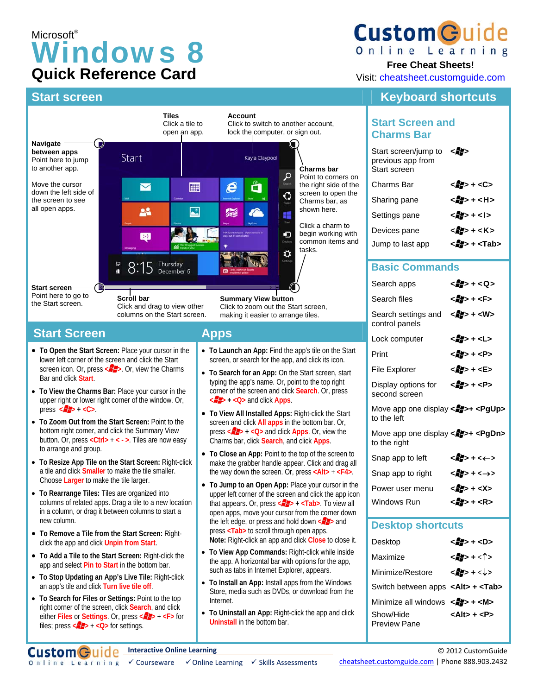# Microsoft® Windows 8 **Quick Reference Card**

## **Start screen Keyboard shortcuts Start screen** Keyboard shortcuts



Online Learning

#### **Free Cheat Sheets!**

Visit: cheatsheet.customguide.com